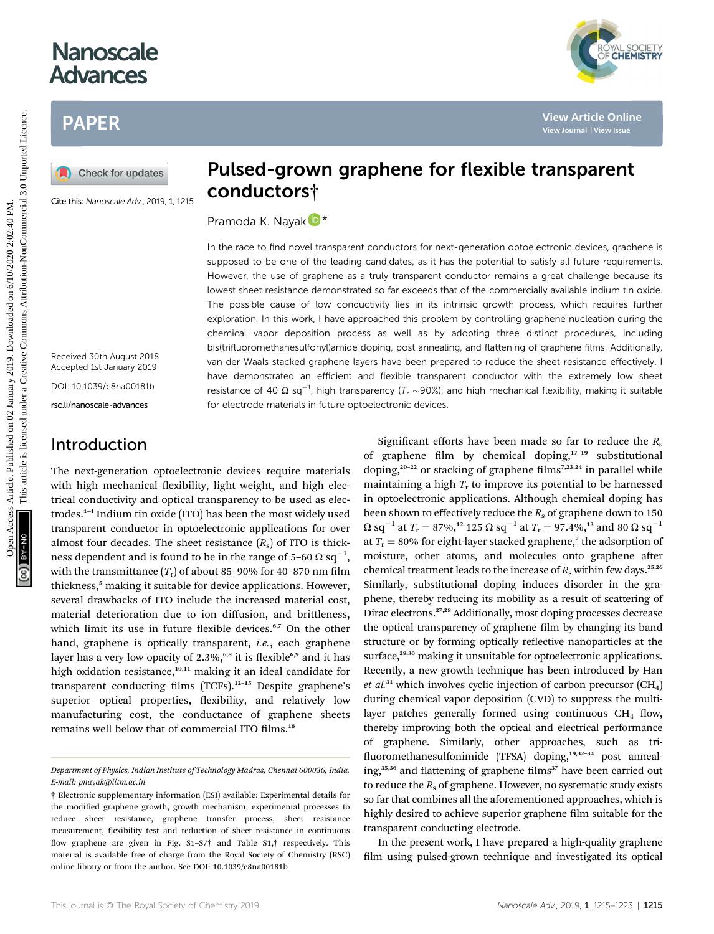# **Nanoscale** Advances

## PAPER

Cite this: Nanoscale Adv., 2019, 1, 1215

Pulsed-grown graphene for flexible transparent conductors†

Pramoda K. Nayak D<sup>\*</sup>

In the race to find novel transparent conductors for next-generation optoelectronic devices, graphene is supposed to be one of the leading candidates, as it has the potential to satisfy all future requirements. However, the use of graphene as a truly transparent conductor remains a great challenge because its lowest sheet resistance demonstrated so far exceeds that of the commercially available indium tin oxide. The possible cause of low conductivity lies in its intrinsic growth process, which requires further exploration. In this work, I have approached this problem by controlling graphene nucleation during the chemical vapor deposition process as well as by adopting three distinct procedures, including bis(trifluoromethanesulfonyl)amide doping, post annealing, and flattening of graphene films. Additionally, van der Waals stacked graphene layers have been prepared to reduce the sheet resistance effectively. I have demonstrated an efficient and flexible transparent conductor with the extremely low sheet resistance of 40  $\Omega$  sq<sup>-1</sup>, high transparency (T<sub>r</sub> ~90%), and high mechanical flexibility, making it suitable for electrode materials in future optoelectronic devices. PAPER<br>
BAPER<br>
Consider the value of the state of the state of the state of the state of the state of the state is the value of the state of the state of the state of the state of the state of the state of the state of the

Received 30th August 2018 Accepted 1st January 2019

DOI: 10.1039/c8na00181b

rsc.li/nanoscale-advances

### Introduction

The next-generation optoelectronic devices require materials with high mechanical flexibility, light weight, and high electrical conductivity and optical transparency to be used as electrodes.<sup>1</sup>–<sup>4</sup> Indium tin oxide (ITO) has been the most widely used transparent conductor in optoelectronic applications for over almost four decades. The sheet resistance  $(R_s)$  of ITO is thickness dependent and is found to be in the range of 5–60  $\Omega$  sq $^{-1},$ with the transmittance  $(T_r)$  of about 85–90% for 40–870 nm film thickness,<sup>5</sup> making it suitable for device applications. However, several drawbacks of ITO include the increased material cost, material deterioration due to ion diffusion, and brittleness, which limit its use in future flexible devices.<sup>6,7</sup> On the other hand, graphene is optically transparent, *i.e.*, each graphene layer has a very low opacity of 2.3%,<sup>6,8</sup> it is flexible<sup>6,9</sup> and it has high oxidation resistance,<sup>10,11</sup> making it an ideal candidate for transparent conducting films (TCFs).<sup>12-15</sup> Despite graphene's superior optical properties, flexibility, and relatively low manufacturing cost, the conductance of graphene sheets remains well below that of commercial ITO films.<sup>16</sup>

Significant efforts have been made so far to reduce the  $R_s$ of graphene film by chemical doping, $17-19$  substitutional doping,<sup>20–22</sup> or stacking of graphene films<sup>7,23,24</sup> in parallel while maintaining a high  $T_r$  to improve its potential to be harnessed in optoelectronic applications. Although chemical doping has been shown to effectively reduce the  $R<sub>s</sub>$  of graphene down to 150  $\Omega$  sq<sup>-1</sup> at  $T_r = 87\%,^{12}$  125  $\Omega$  sq<sup>-1</sup> at  $T_r = 97.4\%,^{13}$  and 80  $\Omega$  sq<sup>-1</sup> at  $T_r = 80\%$  for eight-layer stacked graphene,<sup>7</sup> the adsorption of moisture, other atoms, and molecules onto graphene after chemical treatment leads to the increase of  $R_s$  within few days.<sup>25,26</sup> Similarly, substitutional doping induces disorder in the graphene, thereby reducing its mobility as a result of scattering of Dirac electrons.27,28 Additionally, most doping processes decrease the optical transparency of graphene film by changing its band structure or by forming optically reflective nanoparticles at the surface,<sup>29,30</sup> making it unsuitable for optoelectronic applications. Recently, a new growth technique has been introduced by Han et al.<sup>31</sup> which involves cyclic injection of carbon precursor  $(CH<sub>4</sub>)$ during chemical vapor deposition (CVD) to suppress the multilayer patches generally formed using continuous  $CH<sub>4</sub>$  flow, thereby improving both the optical and electrical performance of graphene. Similarly, other approaches, such as tri fluoromethanesulfonimide (TFSA) doping,<sup>19,32-34</sup> post annealing,<sup>35,36</sup> and flattening of graphene films<sup>37</sup> have been carried out to reduce the  $R_s$  of graphene. However, no systematic study exists so far that combines all the aforementioned approaches, which is highly desired to achieve superior graphene film suitable for the transparent conducting electrode.

In the present work, I have prepared a high-quality graphene film using pulsed-grown technique and investigated its optical

YAL SOCIETY<br>**CHEMISTRY** 

Department of Physics, Indian Institute of Technology Madras, Chennai 600036, India. E-mail: pnayak@iitm.ac.in

<sup>†</sup> Electronic supplementary information (ESI) available: Experimental details for the modified graphene growth, growth mechanism, experimental processes to reduce sheet resistance, graphene transfer process, sheet resistance measurement, flexibility test and reduction of sheet resistance in continuous flow graphene are given in Fig. S1-S7 $\dagger$  and Table S1, $\dagger$  respectively. This material is available free of charge from the Royal Society of Chemistry (RSC) online library or from the author. See DOI: 10.1039/c8na00181b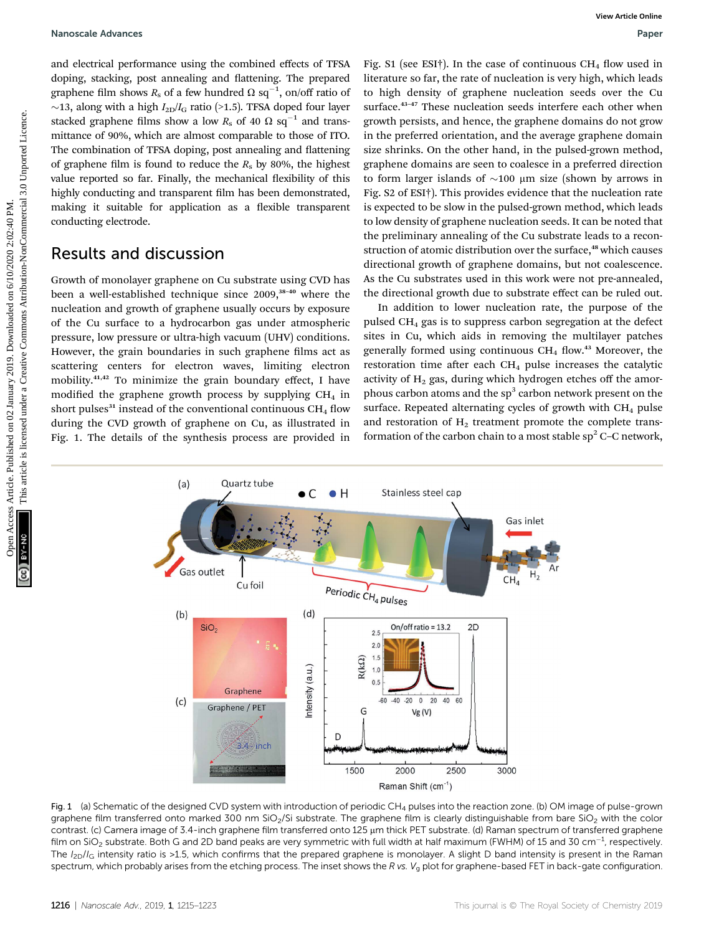and electrical performance using the combined effects of TFSA doping, stacking, post annealing and flattening. The prepared graphene film shows  $R_s$  of a few hundred  $\Omega$  sq<sup>-1</sup>, on/off ratio of  $\sim$ 13, along with a high  $I_{2D}/I_G$  ratio (>1.5). TFSA doped four layer stacked graphene films show a low  $R_s$  of 40  $\Omega$  sq<sup>-1</sup> and transmittance of 90%, which are almost comparable to those of ITO. The combination of TFSA doping, post annealing and flattening of graphene film is found to reduce the  $R_s$  by 80%, the highest value reported so far. Finally, the mechanical flexibility of this highly conducting and transparent film has been demonstrated, making it suitable for application as a flexible transparent conducting electrode.

### Results and discussion

Growth of monolayer graphene on Cu substrate using CVD has been a well-established technique since 2009,<sup>38-40</sup> where the nucleation and growth of graphene usually occurs by exposure of the Cu surface to a hydrocarbon gas under atmospheric pressure, low pressure or ultra-high vacuum (UHV) conditions. However, the grain boundaries in such graphene films act as scattering centers for electron waves, limiting electron mobility.41,42 To minimize the grain boundary effect, I have modified the graphene growth process by supplying  $CH<sub>4</sub>$  in short pulses<sup>31</sup> instead of the conventional continuous  $CH<sub>4</sub>$  flow during the CVD growth of graphene on Cu, as illustrated in Fig. 1. The details of the synthesis process are provided in

Fig. S1 (see ESI†). In the case of continuous  $CH<sub>4</sub>$  flow used in literature so far, the rate of nucleation is very high, which leads to high density of graphene nucleation seeds over the Cu surface.<sup>43-47</sup> These nucleation seeds interfere each other when growth persists, and hence, the graphene domains do not grow in the preferred orientation, and the average graphene domain size shrinks. On the other hand, in the pulsed-grown method, graphene domains are seen to coalesce in a preferred direction to form larger islands of  $\sim$ 100 µm size (shown by arrows in Fig. S2 of ESI†). This provides evidence that the nucleation rate is expected to be slow in the pulsed-grown method, which leads to low density of graphene nucleation seeds. It can be noted that the preliminary annealing of the Cu substrate leads to a reconstruction of atomic distribution over the surface,<sup>48</sup> which causes directional growth of graphene domains, but not coalescence. As the Cu substrates used in this work were not pre-annealed, the directional growth due to substrate effect can be ruled out. Nanosale Advances<br>
and electrical performance using the continued effects of TSA. Pig S: 1(ee ESF), the new of continuous CH, flow oued in<br>
during and the spherical performance is the performance in the mean from the mean

In addition to lower nucleation rate, the purpose of the pulsed CH4 gas is to suppress carbon segregation at the defect sites in Cu, which aids in removing the multilayer patches generally formed using continuous  $CH_4$  flow.<sup>43</sup> Moreover, the restoration time after each  $CH<sub>4</sub>$  pulse increases the catalytic activity of  $H<sub>2</sub>$  gas, during which hydrogen etches off the amorphous carbon atoms and the  $sp<sup>3</sup>$  carbon network present on the surface. Repeated alternating cycles of growth with  $CH<sub>4</sub>$  pulse and restoration of  $H_2$  treatment promote the complete transformation of the carbon chain to a most stable  $sp^2$  C–C network,



Fig. 1 (a) Schematic of the designed CVD system with introduction of periodic CH<sub>4</sub> pulses into the reaction zone. (b) OM image of pulse-grown graphene film transferred onto marked 300 nm SiO<sub>2</sub>/Si substrate. The graphene film is clearly distinguishable from bare SiO<sub>2</sub> with the color contrast. (c) Camera image of 3.4-inch graphene film transferred onto 125 µm thick PET substrate. (d) Raman spectrum of transferred graphene film on SiO<sub>2</sub> substrate. Both G and 2D band peaks are very symmetric with full width at half maximum (FWHM) of 15 and 30 cm $^{-1}$ , respectively. The  $I_{2D}/I_G$  intensity ratio is >1.5, which confirms that the prepared graphene is monolayer. A slight D band intensity is present in the Raman spectrum, which probably arises from the etching process. The inset shows the R vs.  $V_q$  plot for graphene-based FET in back-gate configuration.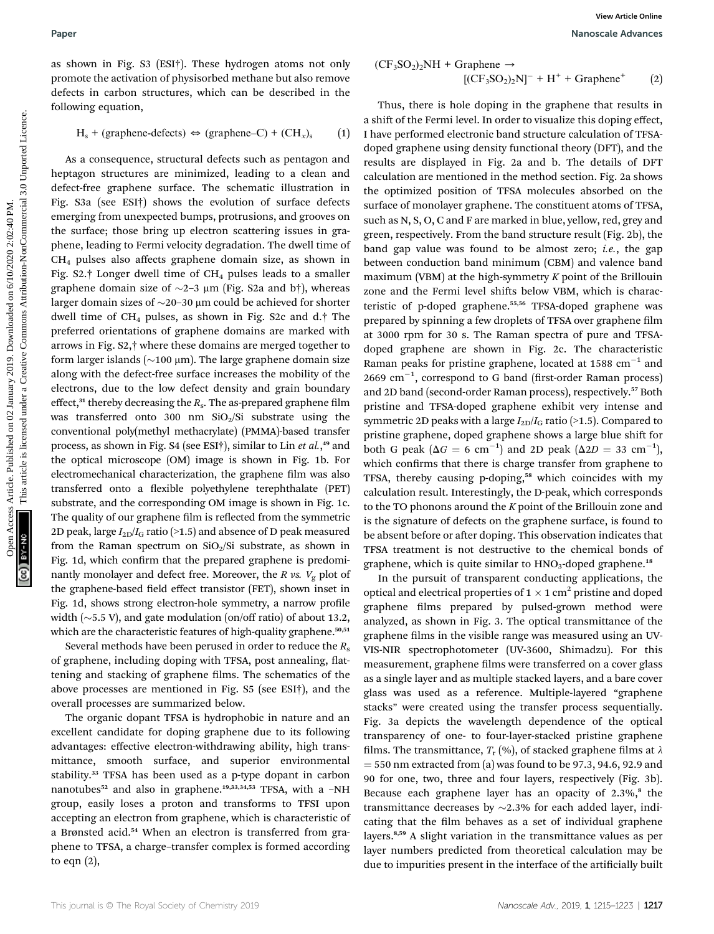as shown in Fig. S3 (ESI†). These hydrogen atoms not only promote the activation of physisorbed methane but also remove defects in carbon structures, which can be described in the following equation,

 $H_s$  + (graphene-defects)  $\Leftrightarrow$  (graphene–C) + (CH<sub>x</sub>)<sub>s</sub> (1)

As a consequence, structural defects such as pentagon and heptagon structures are minimized, leading to a clean and defect-free graphene surface. The schematic illustration in Fig. S3a (see ESI†) shows the evolution of surface defects emerging from unexpected bumps, protrusions, and grooves on the surface; those bring up electron scattering issues in graphene, leading to Fermi velocity degradation. The dwell time of CH4 pulses also affects graphene domain size, as shown in Fig. S2.† Longer dwell time of  $CH_4$  pulses leads to a smaller graphene domain size of  $\sim$ 2–3 µm (Fig. S2a and b†), whereas larger domain sizes of  $\sim$ 20–30 µm could be achieved for shorter dwell time of  $CH_4$  pulses, as shown in Fig. S2c and d.† The preferred orientations of graphene domains are marked with arrows in Fig. S2,† where these domains are merged together to form larger islands ( $\sim$ 100 µm). The large graphene domain size along with the defect-free surface increases the mobility of the electrons, due to the low defect density and grain boundary effect, $31$  thereby decreasing the  $R_s$ . The as-prepared graphene film was transferred onto 300 nm  $SiO<sub>2</sub>/Si$  substrate using the conventional poly(methyl methacrylate) (PMMA)-based transfer process, as shown in Fig. S4 (see ESI†), similar to Lin et al.,<sup>49</sup> and the optical microscope (OM) image is shown in Fig. 1b. For electromechanical characterization, the graphene film was also transferred onto a flexible polyethylene terephthalate (PET) substrate, and the corresponding OM image is shown in Fig. 1c. The quality of our graphene film is reflected from the symmetric 2D peak, large  $I_{2D}/I_G$  ratio (>1.5) and absence of D peak measured from the Raman spectrum on  $SiO<sub>2</sub>/Si$  substrate, as shown in Fig. 1d, which confirm that the prepared graphene is predominantly monolayer and defect free. Moreover, the R vs.  $V_g$  plot of the graphene-based field effect transistor (FET), shown inset in Fig. 1d, shows strong electron-hole symmetry, a narrow profile width  $(\sim$  5.5 V), and gate modulation (on/off ratio) of about 13.2, which are the characteristic features of high-quality graphene.<sup>50,51</sup>

Several methods have been perused in order to reduce the  $R_s$ of graphene, including doping with TFSA, post annealing, flattening and stacking of graphene films. The schematics of the above processes are mentioned in Fig. S5 (see ESI†), and the overall processes are summarized below.

The organic dopant TFSA is hydrophobic in nature and an excellent candidate for doping graphene due to its following advantages: effective electron-withdrawing ability, high transmittance, smooth surface, and superior environmental stability.<sup>33</sup> TFSA has been used as a p-type dopant in carbon nanotubes<sup>52</sup> and also in graphene.<sup>19,33,34,53</sup> TFSA, with a -NH group, easily loses a proton and transforms to TFSI upon accepting an electron from graphene, which is characteristic of a Brønsted acid.<sup>54</sup> When an electron is transferred from graphene to TFSA, a charge–transfer complex is formed according to eqn (2),

$$
(\text{CF}_3\text{SO}_2)_2\text{NH} + \text{Graphene} \rightarrow
$$
  

$$
[(\text{CF}_3\text{SO}_2)_2\text{N}]^- + \text{H}^+ + \text{Graphene}^+ \tag{2}
$$

Thus, there is hole doping in the graphene that results in a shift of the Fermi level. In order to visualize this doping effect, I have performed electronic band structure calculation of TFSAdoped graphene using density functional theory (DFT), and the results are displayed in Fig. 2a and b. The details of DFT calculation are mentioned in the method section. Fig. 2a shows the optimized position of TFSA molecules absorbed on the surface of monolayer graphene. The constituent atoms of TFSA, such as N, S, O, C and F are marked in blue, yellow, red, grey and green, respectively. From the band structure result (Fig. 2b), the band gap value was found to be almost zero; *i.e.*, the gap between conduction band minimum (CBM) and valence band maximum (VBM) at the high-symmetry  $K$  point of the Brillouin zone and the Fermi level shifts below VBM, which is characteristic of p-doped graphene.<sup>55,56</sup> TFSA-doped graphene was prepared by spinning a few droplets of TFSA over graphene film at 3000 rpm for 30 s. The Raman spectra of pure and TFSAdoped graphene are shown in Fig. 2c. The characteristic Raman peaks for pristine graphene, located at 1588  $cm^{-1}$  and  $2669$   $cm^{-1}$ , correspond to G band (first-order Raman process) and 2D band (second-order Raman process), respectively.<sup>57</sup> Both pristine and TFSA-doped graphene exhibit very intense and symmetric 2D peaks with a large  $I_{2D}/I_G$  ratio (>1.5). Compared to pristine graphene, doped graphene shows a large blue shift for both G peak ( $\Delta G = 6$  cm<sup>-1</sup>) and 2D peak ( $\Delta 2D = 33$  cm<sup>-1</sup>), which confirms that there is charge transfer from graphene to TFSA, thereby causing p-doping,<sup>58</sup> which coincides with my calculation result. Interestingly, the D-peak, which corresponds to the TO phonons around the  $K$  point of the Brillouin zone and is the signature of defects on the graphene surface, is found to be absent before or after doping. This observation indicates that TFSA treatment is not destructive to the chemical bonds of graphene, which is quite similar to HNO<sub>3</sub>-doped graphene.<sup>18</sup> Paper Warrel in Fig. 51 (ISET). These hydrogen somes not only<br>
noncertical common phases by the car based on the description of the same of the car based on 02 January 2019.<br>
The common of published on the method in the s

> In the pursuit of transparent conducting applications, the optical and electrical properties of  $1 \times 1$  cm<sup>2</sup> pristine and doped graphene films prepared by pulsed-grown method were analyzed, as shown in Fig. 3. The optical transmittance of the graphene films in the visible range was measured using an UV-VIS-NIR spectrophotometer (UV-3600, Shimadzu). For this measurement, graphene films were transferred on a cover glass as a single layer and as multiple stacked layers, and a bare cover glass was used as a reference. Multiple-layered "graphene stacks" were created using the transfer process sequentially. Fig. 3a depicts the wavelength dependence of the optical transparency of one- to four-layer-stacked pristine graphene films. The transmittance,  $T_{r}$  (%), of stacked graphene films at  $\lambda$  $=$  550 nm extracted from (a) was found to be 97.3, 94.6, 92.9 and 90 for one, two, three and four layers, respectively (Fig. 3b). Because each graphene layer has an opacity of  $2.3\%$ ,<sup>8</sup> the transmittance decreases by  $\sim$ 2.3% for each added layer, indicating that the film behaves as a set of individual graphene layers.8,59 A slight variation in the transmittance values as per layer numbers predicted from theoretical calculation may be due to impurities present in the interface of the artificially built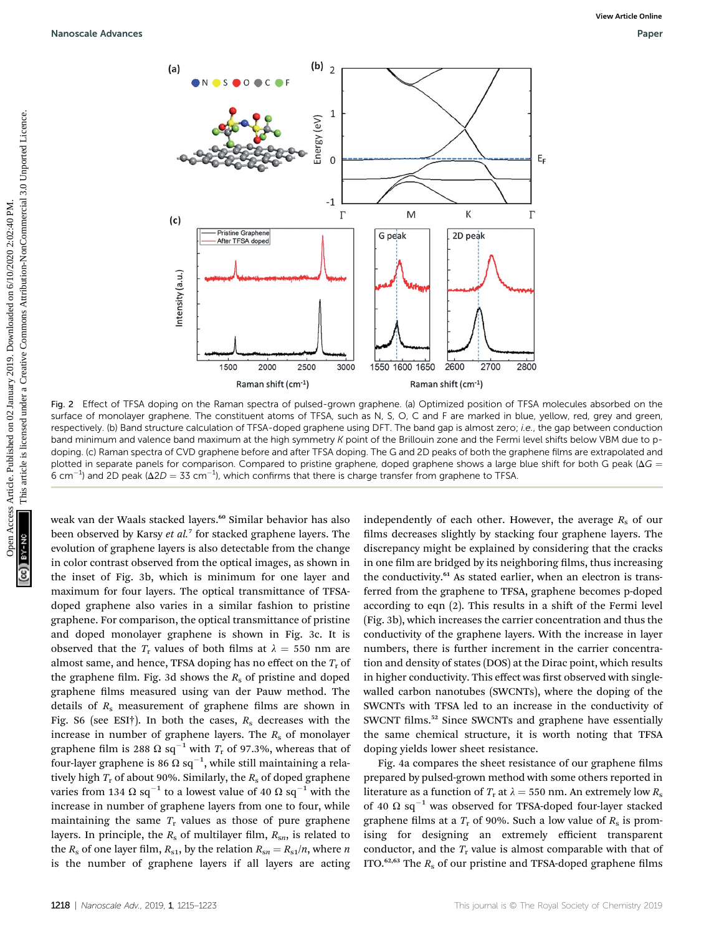

Fig. 2 Effect of TFSA doping on the Raman spectra of pulsed-grown graphene. (a) Optimized position of TFSA molecules absorbed on the surface of monolayer graphene. The constituent atoms of TFSA, such as N, S, O, C and F are marked in blue, yellow, red, grey and green, respectively. (b) Band structure calculation of TFSA-doped graphene using DFT. The band gap is almost zero; i.e., the gap between conduction band minimum and valence band maximum at the high symmetry K point of the Brillouin zone and the Fermi level shifts below VBM due to pdoping. (c) Raman spectra of CVD graphene before and after TFSA doping. The G and 2D peaks of both the graphene films are extrapolated and plotted in separate panels for comparison. Compared to pristine graphene, doped graphene shows a large blue shift for both G peak ( $\Delta G$  = 6 cm<sup>-1</sup>) and 2D peak ( $\Delta$ 2D = 33 cm<sup>-1</sup>), which confirms that there is charge transfer from graphene to TFSA.

weak van der Waals stacked layers.<sup>60</sup> Similar behavior has also been observed by Karsy et al.<sup>7</sup> for stacked graphene layers. The evolution of graphene layers is also detectable from the change in color contrast observed from the optical images, as shown in the inset of Fig. 3b, which is minimum for one layer and maximum for four layers. The optical transmittance of TFSAdoped graphene also varies in a similar fashion to pristine graphene. For comparison, the optical transmittance of pristine and doped monolayer graphene is shown in Fig. 3c. It is observed that the  $T_r$  values of both films at  $\lambda = 550$  nm are almost same, and hence, TFSA doping has no effect on the  $T_r$  of the graphene film. Fig. 3d shows the  $R<sub>s</sub>$  of pristine and doped graphene films measured using van der Pauw method. The details of  $R<sub>s</sub>$  measurement of graphene films are shown in Fig. S6 (see ESI†). In both the cases,  $R_s$  decreases with the increase in number of graphene layers. The  $R_s$  of monolayer graphene film is 288  $\Omega$  sq<sup>-1</sup> with  $T_r$  of 97.3%, whereas that of four-layer graphene is 86  $\Omega$  sq $^{-1}$ , while still maintaining a relatively high  $T_r$  of about 90%. Similarly, the  $R_s$  of doped graphene varies from 134  $\Omega$  sq<sup>-1</sup> to a lowest value of 40  $\Omega$  sq<sup>-1</sup> with the increase in number of graphene layers from one to four, while maintaining the same  $T_r$  values as those of pure graphene layers. In principle, the  $R_s$  of multilayer film,  $R_{sn}$ , is related to the  $R_s$  of one layer film,  $R_{s1}$ , by the relation  $R_{sn} = R_{s1}/n$ , where n is the number of graphene layers if all layers are acting

independently of each other. However, the average  $R_s$  of our films decreases slightly by stacking four graphene layers. The discrepancy might be explained by considering that the cracks in one film are bridged by its neighboring films, thus increasing the conductivity.<sup>61</sup> As stated earlier, when an electron is transferred from the graphene to TFSA, graphene becomes p-doped according to eqn  $(2)$ . This results in a shift of the Fermi level (Fig. 3b), which increases the carrier concentration and thus the conductivity of the graphene layers. With the increase in layer numbers, there is further increment in the carrier concentration and density of states (DOS) at the Dirac point, which results in higher conductivity. This effect was first observed with singlewalled carbon nanotubes (SWCNTs), where the doping of the SWCNTs with TFSA led to an increase in the conductivity of SWCNT films.<sup>52</sup> Since SWCNTs and graphene have essentially the same chemical structure, it is worth noting that TFSA doping yields lower sheet resistance.

Fig. 4a compares the sheet resistance of our graphene films prepared by pulsed-grown method with some others reported in literature as a function of  $T_r$  at  $\lambda = 550$  nm. An extremely low  $R_s$ of 40  $\Omega$  sq<sup>-1</sup> was observed for TFSA-doped four-layer stacked graphene films at a  $T_r$  of 90%. Such a low value of  $R_s$  is promising for designing an extremely efficient transparent conductor, and the  $T_r$  value is almost comparable with that of ITO. $62,63$  The  $R_s$  of our pristine and TFSA-doped graphene films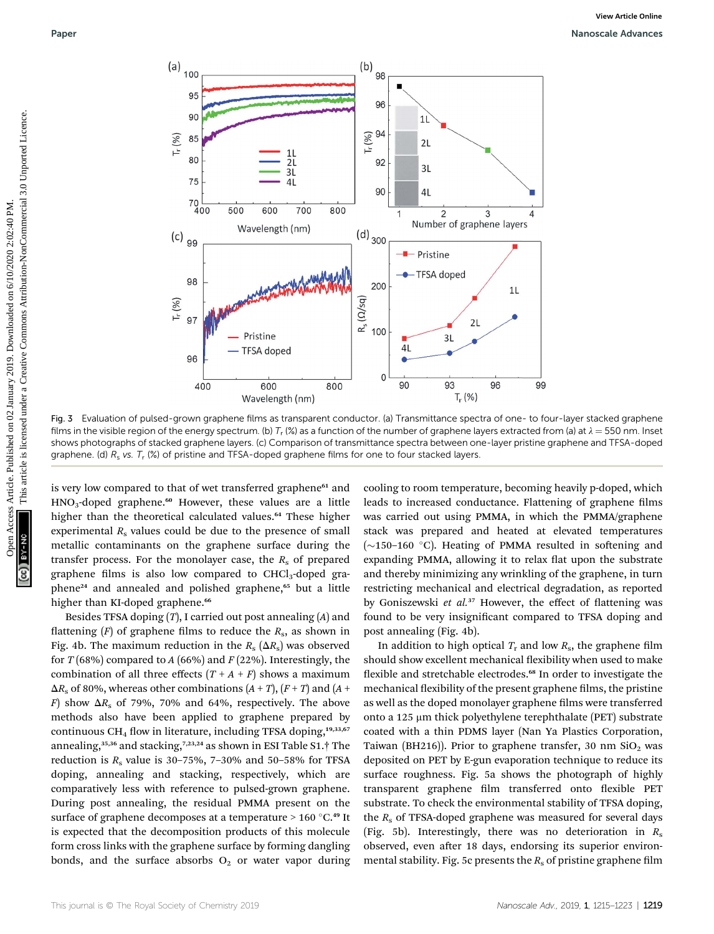

Fig. 3 Evaluation of pulsed-grown graphene films as transparent conductor. (a) Transmittance spectra of one- to four-layer stacked graphene films in the visible region of the energy spectrum. (b)  $T_r$  (%) as a function of the number of graphene layers extracted from (a) at  $\lambda = 550$  nm. Inset shows photographs of stacked graphene layers. (c) Comparison of transmittance spectra between one-layer pristine graphene and TFSA-doped graphene. (d)  $R_s$  vs.  $T_r$  (%) of pristine and TFSA-doped graphene films for one to four stacked layers.

is very low compared to that of wet transferred graphene<sup>61</sup> and  $HNO<sub>3</sub>$ -doped graphene.<sup>60</sup> However, these values are a little higher than the theoretical calculated values.<sup>64</sup> These higher experimental  $R<sub>s</sub>$  values could be due to the presence of small metallic contaminants on the graphene surface during the transfer process. For the monolayer case, the  $R_s$  of prepared graphene films is also low compared to  $CHCl<sub>3</sub>$ -doped graphene<sup>24</sup> and annealed and polished graphene,<sup>65</sup> but a little higher than KI-doped graphene.<sup>66</sup>

Besides TFSA doping  $(T)$ , I carried out post annealing  $(A)$  and flattening  $(F)$  of graphene films to reduce the  $R_s$ , as shown in Fig. 4b. The maximum reduction in the  $R_s$  ( $\Delta R_s$ ) was observed for  $T(68%)$  compared to A (66%) and F (22%). Interestingly, the combination of all three effects  $(T + A + F)$  shows a maximum  $\Delta R_s$  of 80%, whereas other combinations  $(A + T)$ ,  $(F + T)$  and  $(A + T)$ F) show  $\Delta R_s$  of 79%, 70% and 64%, respectively. The above methods also have been applied to graphene prepared by continuous CH<sub>4</sub> flow in literature, including TFSA doping,<sup>19,33,67</sup> annealing,<sup>35,36</sup> and stacking,<sup>7,23,24</sup> as shown in ESI Table S1.<sup>†</sup> The reduction is  $R_s$  value is 30-75%, 7-30% and 50-58% for TFSA doping, annealing and stacking, respectively, which are comparatively less with reference to pulsed-grown graphene. During post annealing, the residual PMMA present on the surface of graphene decomposes at a temperature  $> 160 °C$ .<sup>49</sup> It is expected that the decomposition products of this molecule form cross links with the graphene surface by forming dangling bonds, and the surface absorbs  $O_2$  or water vapor during

cooling to room temperature, becoming heavily p-doped, which leads to increased conductance. Flattening of graphene films was carried out using PMMA, in which the PMMA/graphene stack was prepared and heated at elevated temperatures ( $\sim$ 150–160 °C). Heating of PMMA resulted in softening and expanding PMMA, allowing it to relax flat upon the substrate and thereby minimizing any wrinkling of the graphene, in turn restricting mechanical and electrical degradation, as reported by Goniszewski et al.<sup>37</sup> However, the effect of flattening was found to be very insignificant compared to TFSA doping and post annealing (Fig. 4b).

In addition to high optical  $T_r$  and low  $R_s$ , the graphene film should show excellent mechanical flexibility when used to make flexible and stretchable electrodes.<sup>68</sup> In order to investigate the mechanical flexibility of the present graphene films, the pristine as well as the doped monolayer graphene films were transferred onto a 125  $\mu$ m thick polyethylene terephthalate (PET) substrate coated with a thin PDMS layer (Nan Ya Plastics Corporation, Taiwan (BH216)). Prior to graphene transfer, 30 nm  $SiO<sub>2</sub>$  was deposited on PET by E-gun evaporation technique to reduce its surface roughness. Fig. 5a shows the photograph of highly transparent graphene film transferred onto flexible PET substrate. To check the environmental stability of TFSA doping, the  $R<sub>s</sub>$  of TFSA-doped graphene was measured for several days (Fig. 5b). Interestingly, there was no deterioration in  $R_s$ observed, even after 18 days, endorsing its superior environmental stability. Fig. 5c presents the  $R_s$  of pristine graphene film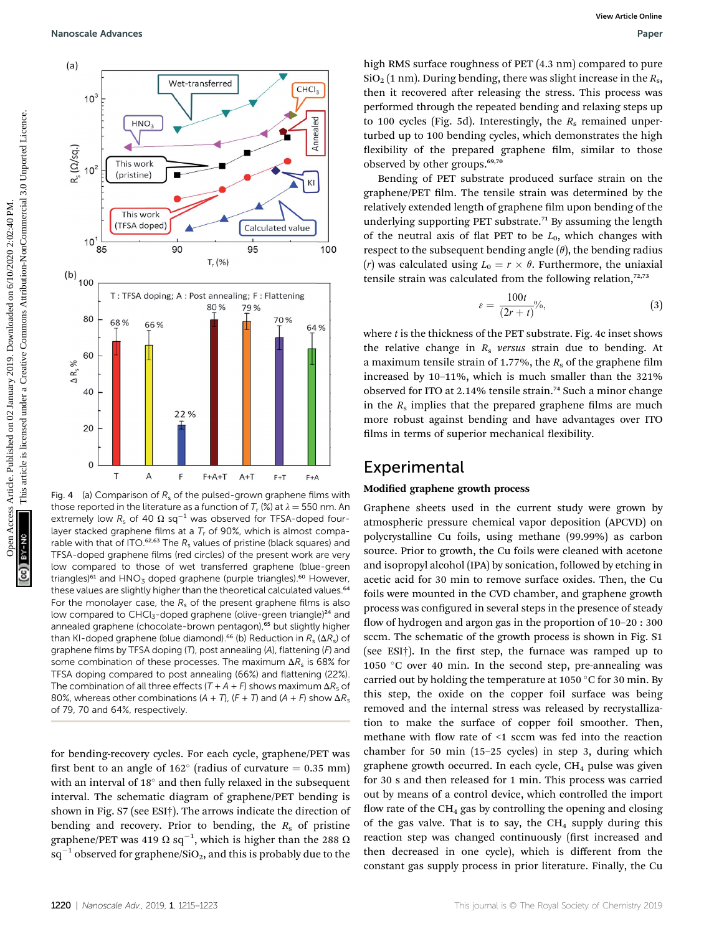

Fig. 4 (a) Comparison of  $R_s$  of the pulsed-grown graphene films with those reported in the literature as a function of  $T_r$  (%) at  $\lambda = 550$  nm. An extremely low  $R_s$  of 40  $\Omega$  sq<sup>-1</sup> was observed for TFSA-doped fourlayer stacked graphene films at a  $T_r$  of 90%, which is almost comparable with that of ITO.<sup>62,63</sup> The  $R_s$  values of pristine (black squares) and TFSA-doped graphene films (red circles) of the present work are very low compared to those of wet transferred graphene (blue-green triangles)<sup>61</sup> and  $HNO<sub>3</sub>$  doped graphene (purple triangles).<sup>60</sup> However, these values are slightly higher than the theoretical calculated values.<sup>64</sup> For the monolayer case, the  $R_s$  of the present graphene films is also low compared to CHCl<sub>3</sub>-doped graphene (olive-green triangle)<sup>24</sup> and annealed graphene (chocolate-brown pentagon),<sup>65</sup> but slightly higher than KI-doped graphene (blue diamond).<sup>66</sup> (b) Reduction in  $R_s$  ( $\Delta R_s$ ) of graphene films by TFSA doping  $(T)$ , post annealing  $(A)$ , flattening  $(F)$  and some combination of these processes. The maximum  $\Delta R_s$  is 68% for TFSA doping compared to post annealing (66%) and flattening (22%). The combination of all three effects  $(T + A + F)$  shows maximum  $\Delta R_s$  of 80%, whereas other combinations (A + T), (F + T) and (A + F) show  $\Delta R_s$ of 79, 70 and 64%, respectively.

for bending-recovery cycles. For each cycle, graphene/PET was first bent to an angle of 162 $^{\circ}$  (radius of curvature = 0.35 mm) with an interval of  $18^\circ$  and then fully relaxed in the subsequent interval. The schematic diagram of graphene/PET bending is shown in Fig. S7 (see ESI†). The arrows indicate the direction of bending and recovery. Prior to bending, the  $R_s$  of pristine graphene/PET was 419  $\Omega$  sq $^{-1}$ , which is higher than the 288  $\Omega$  $sq^{-1}$  observed for graphene/SiO<sub>2</sub>, and this is probably due to the

high RMS surface roughness of PET (4.3 nm) compared to pure  $\text{SiO}_2$  (1 nm). During bending, there was slight increase in the  $R_s$ , then it recovered after releasing the stress. This process was performed through the repeated bending and relaxing steps up to 100 cycles (Fig. 5d). Interestingly, the  $R_s$  remained unperturbed up to 100 bending cycles, which demonstrates the high flexibility of the prepared graphene film, similar to those observed by other groups.<sup>69,70</sup>

Bending of PET substrate produced surface strain on the graphene/PET film. The tensile strain was determined by the relatively extended length of graphene film upon bending of the underlying supporting PET substrate.<sup>71</sup> By assuming the length of the neutral axis of flat PET to be  $L_0$ , which changes with respect to the subsequent bending angle  $(\theta)$ , the bending radius (r) was calculated using  $L_0 = r \times \theta$ . Furthermore, the uniaxial tensile strain was calculated from the following relation, $72,73$ 

$$
\varepsilon = \frac{100t}{(2r+t)}\%
$$
\n(3)

where  $t$  is the thickness of the PET substrate. Fig. 4c inset shows the relative change in  $R<sub>s</sub>$  versus strain due to bending. At a maximum tensile strain of 1.77%, the  $R_s$  of the graphene film increased by 10–11%, which is much smaller than the 321% observed for ITO at 2.14% tensile strain.<sup>74</sup> Such a minor change in the  $R_s$  implies that the prepared graphene films are much more robust against bending and have advantages over ITO films in terms of superior mechanical flexibility.

### Experimental

#### Modified graphene growth process

Graphene sheets used in the current study were grown by atmospheric pressure chemical vapor deposition (APCVD) on polycrystalline Cu foils, using methane (99.99%) as carbon source. Prior to growth, the Cu foils were cleaned with acetone and isopropyl alcohol (IPA) by sonication, followed by etching in acetic acid for 30 min to remove surface oxides. Then, the Cu foils were mounted in the CVD chamber, and graphene growth process was configured in several steps in the presence of steady flow of hydrogen and argon gas in the proportion of  $10-20:300$ sccm. The schematic of the growth process is shown in Fig. S1 (see ESI $\dagger$ ). In the first step, the furnace was ramped up to 1050  $\degree$ C over 40 min. In the second step, pre-annealing was carried out by holding the temperature at 1050  $\degree$ C for 30 min. By this step, the oxide on the copper foil surface was being removed and the internal stress was released by recrystallization to make the surface of copper foil smoother. Then, methane with flow rate of  $\leq 1$  sccm was fed into the reaction chamber for 50 min (15–25 cycles) in step 3, during which graphene growth occurred. In each cycle,  $CH<sub>4</sub>$  pulse was given for 30 s and then released for 1 min. This process was carried out by means of a control device, which controlled the import flow rate of the  $CH<sub>4</sub>$  gas by controlling the opening and closing of the gas valve. That is to say, the  $CH<sub>4</sub>$  supply during this reaction step was changed continuously (first increased and then decreased in one cycle), which is different from the constant gas supply process in prior literature. Finally, the Cu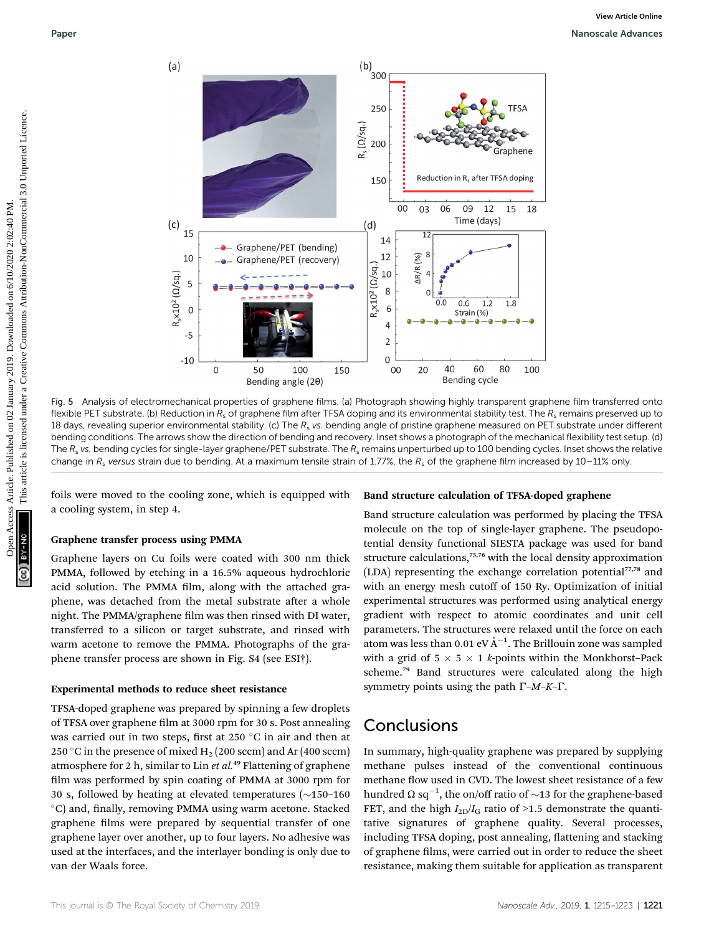

Fig. 5 Analysis of electromechanical properties of graphene films. (a) Photograph showing highly transparent graphene film transferred onto flexible PET substrate. (b) Reduction in  $R_s$  of graphene film after TFSA doping and its environmental stability test. The  $R_s$  remains preserved up to 18 days, revealing superior environmental stability. (c) The  $R_s$  vs. bending angle of pristine graphene measured on PET substrate under different bending conditions. The arrows show the direction of bending and recovery. Inset shows a photograph of the mechanical flexibility test setup. (d) The  $R_s$  vs. bending cycles for single-layer graphene/PET substrate. The  $R_s$  remains unperturbed up to 100 bending cycles. Inset shows the relative change in  $R_s$  versus strain due to bending. At a maximum tensile strain of 1.77%, the  $R_s$  of the graphene film increased by 10–11% only

foils were moved to the cooling zone, which is equipped with a cooling system, in step 4.

#### Graphene transfer process using PMMA

Graphene layers on Cu foils were coated with 300 nm thick PMMA, followed by etching in a 16.5% aqueous hydrochloric acid solution. The PMMA film, along with the attached graphene, was detached from the metal substrate after a whole night. The PMMA/graphene film was then rinsed with DI water, transferred to a silicon or target substrate, and rinsed with warm acetone to remove the PMMA. Photographs of the graphene transfer process are shown in Fig. S4 (see ESI†).

#### Experimental methods to reduce sheet resistance

TFSA-doped graphene was prepared by spinning a few droplets of TFSA over graphene film at 3000 rpm for 30 s. Post annealing was carried out in two steps, first at  $250\textdegree C$  in air and then at 250 °C in the presence of mixed  $H_2$  (200 sccm) and Ar (400 sccm) atmosphere for 2 h, similar to Lin et  $al.^{49}$  Flattening of graphene film was performed by spin coating of PMMA at 3000 rpm for 30 s, followed by heating at elevated temperatures  $(\sim 150-160$  $^{\circ}$ C) and, finally, removing PMMA using warm acetone. Stacked graphene films were prepared by sequential transfer of one graphene layer over another, up to four layers. No adhesive was used at the interfaces, and the interlayer bonding is only due to van der Waals force.

#### Band structure calculation of TFSA-doped graphene

Band structure calculation was performed by placing the TFSA molecule on the top of single-layer graphene. The pseudopotential density functional SIESTA package was used for band structure calculations,<sup>75,76</sup> with the local density approximation (LDA) representing the exchange correlation potential<sup>77,78</sup> and with an energy mesh cutoff of 150 Ry. Optimization of initial experimental structures was performed using analytical energy gradient with respect to atomic coordinates and unit cell parameters. The structures were relaxed until the force on each atom was less than 0.01 eV  $\rm \AA^{-1}.$  The Brillouin zone was sampled with a grid of  $5 \times 5 \times 1$  k-points within the Monkhorst-Pack scheme.<sup>79</sup> Band structures were calculated along the high symmetry points using the path  $\Gamma$ –M–K– $\Gamma$ .

### **Conclusions**

In summary, high-quality graphene was prepared by supplying methane pulses instead of the conventional continuous methane flow used in CVD. The lowest sheet resistance of a few hundred  $\Omega$  sq<sup>-1</sup>, the on/off ratio of  $\sim$ 13 for the graphene-based FET, and the high  $I_{2D}/I_G$  ratio of >1.5 demonstrate the quantitative signatures of graphene quality. Several processes, including TFSA doping, post annealing, flattening and stacking of graphene films, were carried out in order to reduce the sheet resistance, making them suitable for application as transparent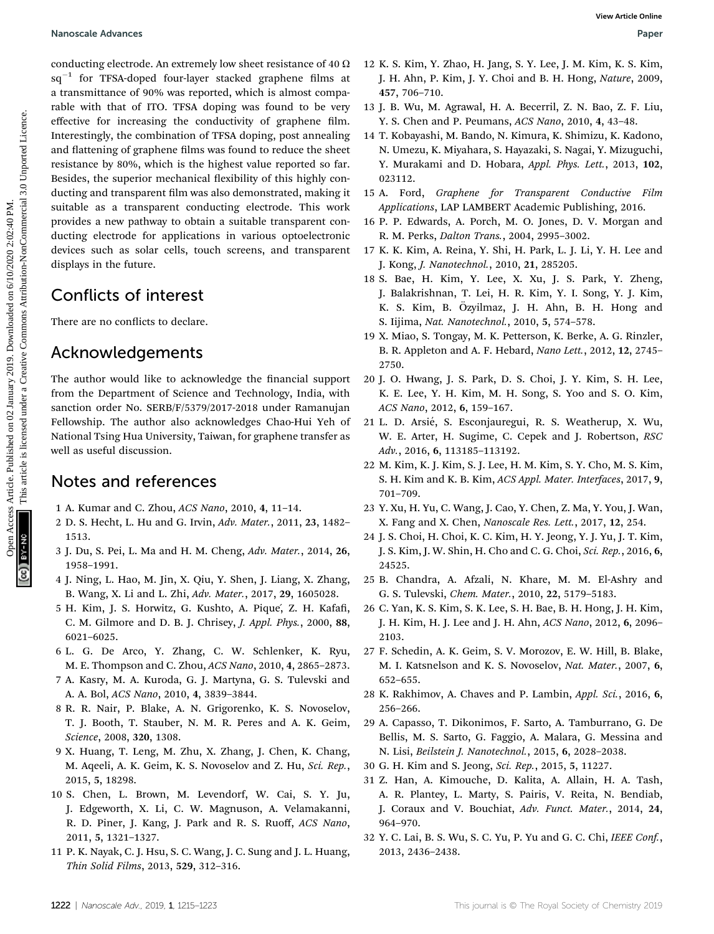conducting electrode. An extremely low sheet resistance of 40  $\Omega$  $sq^{-1}$  for TFSA-doped four-layer stacked graphene films at a transmittance of 90% was reported, which is almost comparable with that of ITO. TFSA doping was found to be very effective for increasing the conductivity of graphene film. Interestingly, the combination of TFSA doping, post annealing and flattening of graphene films was found to reduce the sheet resistance by 80%, which is the highest value reported so far. Besides, the superior mechanical flexibility of this highly conducting and transparent film was also demonstrated, making it suitable as a transparent conducting electrode. This work provides a new pathway to obtain a suitable transparent conducting electrode for applications in various optoelectronic devices such as solar cells, touch screens, and transparent displays in the future. Nanoscale Advances<br>
Signification Access Article is the properties of the Highest Article is life with  $\frac{1}{2}$  E km, P. King M. The Creative Creative Creative Commons Attribution-NonCommercial 3.1<br>
The metallity the func

## Conflicts of interest

There are no conflicts to declare.

### Acknowledgements

The author would like to acknowledge the financial support from the Department of Science and Technology, India, with sanction order No. SERB/F/5379/2017-2018 under Ramanujan Fellowship. The author also acknowledges Chao-Hui Yeh of National Tsing Hua University, Taiwan, for graphene transfer as well as useful discussion.

### Notes and references

- 1 A. Kumar and C. Zhou, ACS Nano, 2010, 4, 11–14.
- 2 D. S. Hecht, L. Hu and G. Irvin, Adv. Mater., 2011, 23, 1482– 1513.
- 3 J. Du, S. Pei, L. Ma and H. M. Cheng, Adv. Mater., 2014, 26, 1958–1991.
- 4 J. Ning, L. Hao, M. Jin, X. Qiu, Y. Shen, J. Liang, X. Zhang, B. Wang, X. Li and L. Zhi, Adv. Mater., 2017, 29, 1605028.
- 5 H. Kim, J. S. Horwitz, G. Kushto, A. Pique, Z. H. Kafafi, C. M. Gilmore and D. B. J. Chrisey, J. Appl. Phys., 2000, 88, 6021–6025.
- 6 L. G. De Arco, Y. Zhang, C. W. Schlenker, K. Ryu, M. E. Thompson and C. Zhou, ACS Nano, 2010, 4, 2865–2873.
- 7 A. Kasry, M. A. Kuroda, G. J. Martyna, G. S. Tulevski and A. A. Bol, ACS Nano, 2010, 4, 3839–3844.
- 8 R. R. Nair, P. Blake, A. N. Grigorenko, K. S. Novoselov, T. J. Booth, T. Stauber, N. M. R. Peres and A. K. Geim, Science, 2008, 320, 1308.
- 9 X. Huang, T. Leng, M. Zhu, X. Zhang, J. Chen, K. Chang, M. Aqeeli, A. K. Geim, K. S. Novoselov and Z. Hu, Sci. Rep., 2015, 5, 18298.
- 10 S. Chen, L. Brown, M. Levendorf, W. Cai, S. Y. Ju, J. Edgeworth, X. Li, C. W. Magnuson, A. Velamakanni, R. D. Piner, J. Kang, J. Park and R. S. Ruoff, ACS Nano, 2011, 5, 1321–1327.
- 11 P. K. Nayak, C. J. Hsu, S. C. Wang, J. C. Sung and J. L. Huang, Thin Solid Films, 2013, 529, 312–316.
- 12 K. S. Kim, Y. Zhao, H. Jang, S. Y. Lee, J. M. Kim, K. S. Kim, J. H. Ahn, P. Kim, J. Y. Choi and B. H. Hong, Nature, 2009, 457, 706–710.
- 13 J. B. Wu, M. Agrawal, H. A. Becerril, Z. N. Bao, Z. F. Liu, Y. S. Chen and P. Peumans, ACS Nano, 2010, 4, 43–48.
- 14 T. Kobayashi, M. Bando, N. Kimura, K. Shimizu, K. Kadono, N. Umezu, K. Miyahara, S. Hayazaki, S. Nagai, Y. Mizuguchi, Y. Murakami and D. Hobara, Appl. Phys. Lett., 2013, 102, 023112.
- 15 A. Ford, Graphene for Transparent Conductive Film Applications, LAP LAMBERT Academic Publishing, 2016.
- 16 P. P. Edwards, A. Porch, M. O. Jones, D. V. Morgan and R. M. Perks, Dalton Trans., 2004, 2995–3002.
- 17 K. K. Kim, A. Reina, Y. Shi, H. Park, L. J. Li, Y. H. Lee and J. Kong, J. Nanotechnol., 2010, 21, 285205.
- 18 S. Bae, H. Kim, Y. Lee, X. Xu, J. S. Park, Y. Zheng, J. Balakrishnan, T. Lei, H. R. Kim, Y. I. Song, Y. J. Kim, K. S. Kim, B. Özyilmaz, J. H. Ahn, B. H. Hong and S. Iijima, Nat. Nanotechnol., 2010, 5, 574–578.
- 19 X. Miao, S. Tongay, M. K. Petterson, K. Berke, A. G. Rinzler, B. R. Appleton and A. F. Hebard, Nano Lett., 2012, 12, 2745– 2750.
- 20 J. O. Hwang, J. S. Park, D. S. Choi, J. Y. Kim, S. H. Lee, K. E. Lee, Y. H. Kim, M. H. Song, S. Yoo and S. O. Kim, ACS Nano, 2012, 6, 159–167.
- 21 L. D. Arsi´e, S. Esconjauregui, R. S. Weatherup, X. Wu, W. E. Arter, H. Sugime, C. Cepek and J. Robertson, RSC Adv., 2016, 6, 113185–113192.
- 22 M. Kim, K. J. Kim, S. J. Lee, H. M. Kim, S. Y. Cho, M. S. Kim, S. H. Kim and K. B. Kim, ACS Appl. Mater. Interfaces, 2017, 9, 701–709.
- 23 Y. Xu, H. Yu, C. Wang, J. Cao, Y. Chen, Z. Ma, Y. You, J. Wan, X. Fang and X. Chen, Nanoscale Res. Lett., 2017, 12, 254.
- 24 J. S. Choi, H. Choi, K. C. Kim, H. Y. Jeong, Y. J. Yu, J. T. Kim, J. S. Kim, J. W. Shin, H. Cho and C. G. Choi, Sci. Rep., 2016, 6, 24525.
- 25 B. Chandra, A. Afzali, N. Khare, M. M. El-Ashry and G. S. Tulevski, Chem. Mater., 2010, 22, 5179–5183.
- 26 C. Yan, K. S. Kim, S. K. Lee, S. H. Bae, B. H. Hong, J. H. Kim, J. H. Kim, H. J. Lee and J. H. Ahn, ACS Nano, 2012, 6, 2096– 2103.
- 27 F. Schedin, A. K. Geim, S. V. Morozov, E. W. Hill, B. Blake, M. I. Katsnelson and K. S. Novoselov, Nat. Mater., 2007, 6, 652–655.
- 28 K. Rakhimov, A. Chaves and P. Lambin, Appl. Sci., 2016, 6, 256–266.
- 29 A. Capasso, T. Dikonimos, F. Sarto, A. Tamburrano, G. De Bellis, M. S. Sarto, G. Faggio, A. Malara, G. Messina and N. Lisi, Beilstein J. Nanotechnol., 2015, 6, 2028–2038.
- 30 G. H. Kim and S. Jeong, Sci. Rep., 2015, 5, 11227.
- 31 Z. Han, A. Kimouche, D. Kalita, A. Allain, H. A. Tash, A. R. Plantey, L. Marty, S. Pairis, V. Reita, N. Bendiab, J. Coraux and V. Bouchiat, Adv. Funct. Mater., 2014, 24, 964–970.
- 32 Y. C. Lai, B. S. Wu, S. C. Yu, P. Yu and G. C. Chi, IEEE Conf., 2013, 2436–2438.